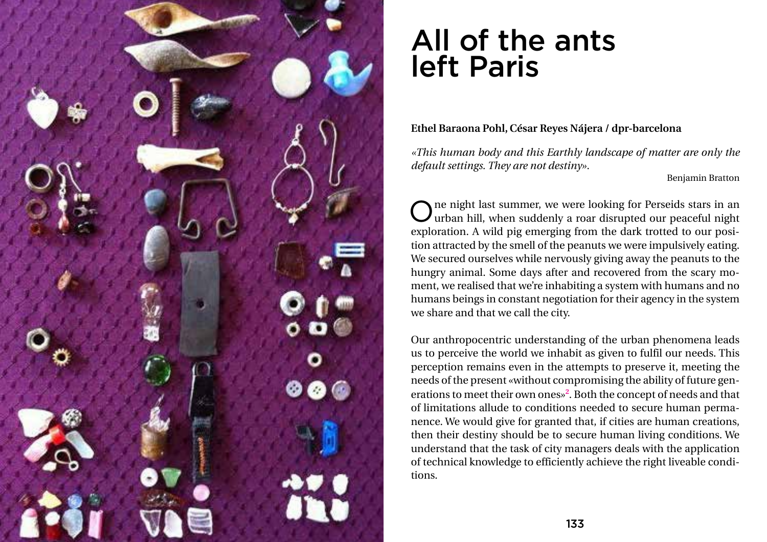

## All of the ants left Paris

**Ethel Baraona Pohl, César Reyes Nájera / dpr-barcelona**

*«This human body and this Earthly landscape of matter are only the default settings. They are not destiny».*

Benjamin Bratton

One night last summer, we were looking for Perseids stars in an urban hill, when suddenly a roar disrupted our peaceful night exploration. A wild pig emerging from the dark trotted to our position attracted by the smell of the peanuts we were impulsively eating. We secured ourselves while nervously giving away the peanuts to the hungry animal. Some days after and recovered from the scary moment, we realised that we're inhabiting a system with humans and no humans beings in constant negotiation for their agency in the system we share and that we call the city.

Our anthropocentric understanding of the urban phenomena leads us to perceive the world we inhabit as given to fulfil our needs. This perception remains even in the attempts to preserve it, meeting the needs of the present «without compromising the ability of future generations to meet their own ones»**<sup>2</sup>** . Both the concept of needs and that of limitations allude to conditions needed to secure human permanence. We would give for granted that, if cities are human creations, then their destiny should be to secure human living conditions. We understand that the task of city managers deals with the application of technical knowledge to efficiently achieve the right liveable conditions.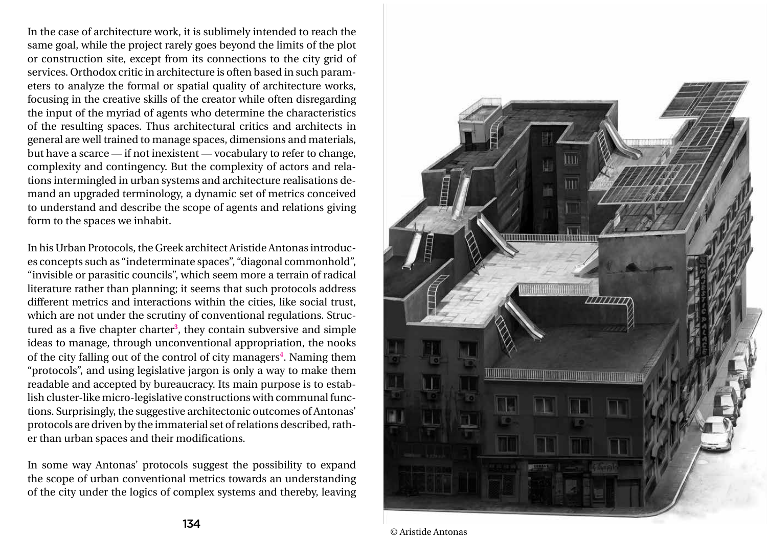In the case of architecture work, it is sublimely intended to reach the same goal, while the project rarely goes beyond the limits of the plot or construction site, except from its connections to the city grid of services. Orthodox critic in architecture is often based in such parameters to analyze the formal or spatial quality of architecture works, focusing in the creative skills of the creator while often disregarding the input of the myriad of agents who determine the characteristics of the resulting spaces. Thus architectural critics and architects in general are well trained to manage spaces, dimensions and materials, but have a scarce — if not inexistent — vocabulary to refer to change, complexity and contingency. But the complexity of actors and relations intermingled in urban systems and architecture realisations demand an upgraded terminology, a dynamic set of metrics conceived to understand and describe the scope of agents and relations giving form to the spaces we inhabit.



© Aristide Antonas

In his Urban Protocols, the Greek architect Aristide Antonas introduces concepts such as "indeterminate spaces", "diagonal commonhold", "invisible or parasitic councils", which seem more a terrain of radical literature rather than planning; it seems that such protocols address different metrics and interactions within the cities, like social trust, which are not under the scrutiny of conventional regulations. Structured as a five chapter charter**<sup>3</sup>** , they contain subversive and simple ideas to manage, through unconventional appropriation, the nooks of the city falling out of the control of city managers**<sup>4</sup>** . Naming them "protocols", and using legislative jargon is only a way to make them readable and accepted by bureaucracy. Its main purpose is to establish cluster-like micro-legislative constructions with communal functions. Surprisingly, the suggestive architectonic outcomes of Antonas' protocols are driven by the immaterial set of relations described, rather than urban spaces and their modifications.

In some way Antonas' protocols suggest the possibility to expand the scope of urban conventional metrics towards an understanding of the city under the logics of complex systems and thereby, leaving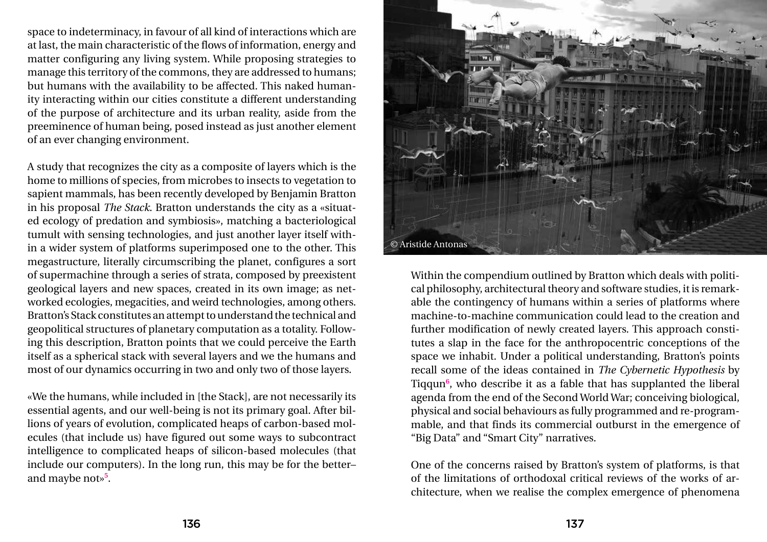space to indeterminacy, in favour of all kind of interactions which are at last, the main characteristic of the flows of information, energy and matter configuring any living system. While proposing strategies to manage this territory of the commons, they are addressed to humans; but humans with the availability to be affected. This naked humanity interacting within our cities constitute a different understanding of the purpose of architecture and its urban reality, aside from the preeminence of human being, posed instead as just another element of an ever changing environment.

A study that recognizes the city as a composite of layers which is the home to millions of species, from microbes to insects to vegetation to sapient mammals, has been recently developed by Benjamin Bratton in his proposal *The Stack*. Bratton understands the city as a «situated ecology of predation and symbiosis», matching a bacteriological tumult with sensing technologies, and just another layer itself within a wider system of platforms superimposed one to the other. This megastructure, literally circumscribing the planet, configures a sort of supermachine through a series of strata, composed by preexistent geological layers and new spaces, created in its own image; as networked ecologies, megacities, and weird technologies, among others. Bratton's Stack constitutes an attempt to understand the technical and geopolitical structures of planetary computation as a totality. Following this description, Bratton points that we could perceive the Earth itself as a spherical stack with several layers and we the humans and most of our dynamics occurring in two and only two of those layers.

«We the humans, while included in [the Stack], are not necessarily its essential agents, and our well-being is not its primary goal. After billions of years of evolution, complicated heaps of carbon-based molecules (that include us) have figured out some ways to subcontract intelligence to complicated heaps of silicon-based molecules (that include our computers). In the long run, this may be for the better– and maybe not»**<sup>5</sup>** .

Within the compendium outlined by Bratton which deals with political philosophy, architectural theory and software studies, it is remarkable the contingency of humans within a series of platforms where machine-to-machine communication could lead to the creation and further modification of newly created layers. This approach constitutes a slap in the face for the anthropocentric conceptions of the space we inhabit. Under a political understanding, Bratton's points recall some of the ideas contained in *The Cybernetic Hypothesis* by Tiqqun**<sup>6</sup>** , who describe it as a fable that has supplanted the liberal agenda from the end of the Second World War; conceiving biological, physical and social behaviours as fully programmed and re-programmable, and that finds its commercial outburst in the emergence of "Big Data" and "Smart City" narratives.

One of the concerns raised by Bratton's system of platforms, is that of the limitations of orthodoxal critical reviews of the works of architecture, when we realise the complex emergence of phenomena

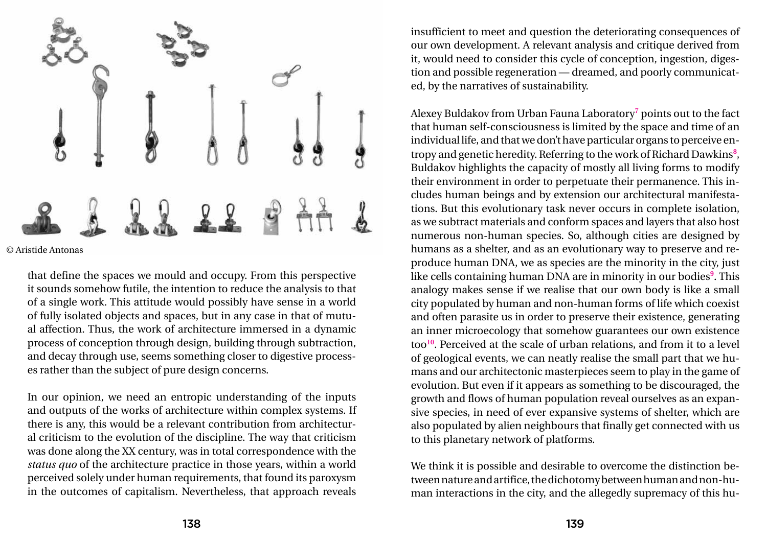that define the spaces we mould and occupy. From this perspective it sounds somehow futile, the intention to reduce the analysis to that of a single work. This attitude would possibly have sense in a world of fully isolated objects and spaces, but in any case in that of mutual affection. Thus, the work of architecture immersed in a dynamic process of conception through design, building through subtraction, and decay through use, seems something closer to digestive processes rather than the subject of pure design concerns.

In our opinion, we need an entropic understanding of the inputs and outputs of the works of architecture within complex systems. If there is any, this would be a relevant contribution from architectural criticism to the evolution of the discipline. The way that criticism was done along the XX century, was in total correspondence with the *status quo* of the architecture practice in those years, within a world perceived solely under human requirements, that found its paroxysm in the outcomes of capitalism. Nevertheless, that approach reveals

insufficient to meet and question the deteriorating consequences of our own development. A relevant analysis and critique derived from it, would need to consider this cycle of conception, ingestion, digestion and possible regeneration — dreamed, and poorly communicated, by the narratives of sustainability.

Alexey Buldakov from Urban Fauna Laboratory<sup>7</sup> points out to the fact that human self-consciousness is limited by the space and time of an individual life, and that we don't have particular organs to perceive entropy and genetic heredity. Referring to the work of Richard Dawkins**<sup>8</sup>** , Buldakov highlights the capacity of mostly all living forms to modify their environment in order to perpetuate their permanence. This includes human beings and by extension our architectural manifestations. But this evolutionary task never occurs in complete isolation, as we subtract materials and conform spaces and layers that also host numerous non-human species. So, although cities are designed by humans as a shelter, and as an evolutionary way to preserve and reproduce human DNA, we as species are the minority in the city, just like cells containing human DNA are in minority in our bodies**<sup>9</sup>** . This analogy makes sense if we realise that our own body is like a small city populated by human and non-human forms of life which coexist and often parasite us in order to preserve their existence, generating an inner microecology that somehow guarantees our own existence too**<sup>10</sup>**. Perceived at the scale of urban relations, and from it to a level of geological events, we can neatly realise the small part that we humans and our architectonic masterpieces seem to play in the game of evolution. But even if it appears as something to be discouraged, the growth and flows of human population reveal ourselves as an expansive species, in need of ever expansive systems of shelter, which are also populated by alien neighbours that finally get connected with us to this planetary network of platforms.

We think it is possible and desirable to overcome the distinction between nature and artifice, the dichotomy between human and non-human interactions in the city, and the allegedly supremacy of this hu-



© Aristide Antonas